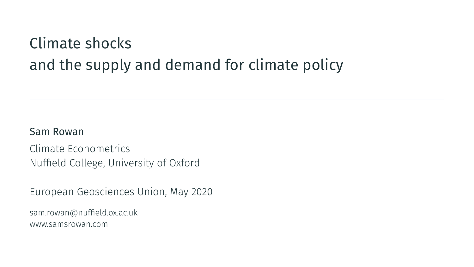# Climate shocks and the supply and demand for climate policy

#### Sam Rowan

Climate Econometrics Nuffield College, University of Oxford

European Geosciences Union, May 2020

sam.rowan@nuffield.ox.ac.uk www.samsrowan.com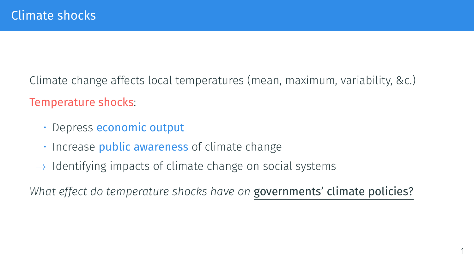Climate change affects local temperatures (mean, maximum, variability, &c.) Temperature shocks:

- Depress economic output
- Increase **public awareness** of climate change
- *→* Identifying impacts of climate change on social systems

*What effect do temperature shocks have on* governments' climate policies?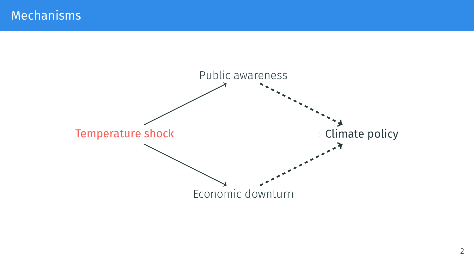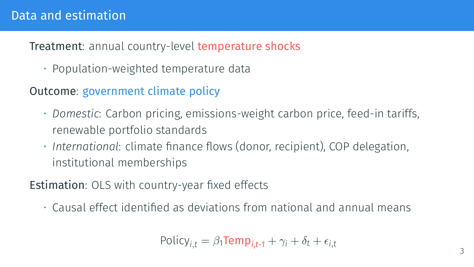#### Treatment: annual country-level temperature shocks

• Population-weighted temperature data

### Outcome: government climate policy

- *Domestic*: Carbon pricing, emissions-weight carbon price, feed-in tariffs, renewable portfolio standards
- *International*: climate finance flows (donor, recipient), COP delegation, institutional memberships

#### Estimation: OLS with country-year fixed effects

• Causal effect identified as deviations from national and annual means

$$
Policy_{i,t} = \beta_1 \text{Temp}_{i,t-1} + \gamma_i + \delta_t + \epsilon_{i,t}
$$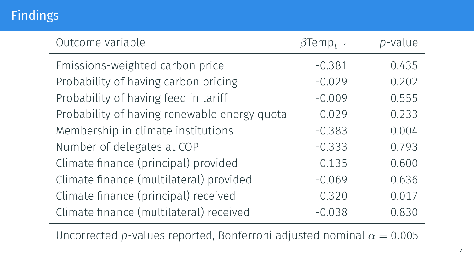## Findings

| Outcome variable                             | $\beta$ Temp <sub>t-1</sub> | p-value |
|----------------------------------------------|-----------------------------|---------|
| Emissions-weighted carbon price              | $-0.381$                    | 0.435   |
| Probability of having carbon pricing         | $-0.029$                    | 0.202   |
| Probability of having feed in tariff         | $-0.009$                    | 0.555   |
| Probability of having renewable energy quota | 0.029                       | 0.233   |
| Membership in climate institutions           | $-0.383$                    | 0.004   |
| Number of delegates at COP                   | $-0.333$                    | 0.793   |
| Climate finance (principal) provided         | 0.135                       | 0.600   |
| Climate finance (multilateral) provided      | $-0.069$                    | 0.636   |
| Climate finance (principal) received         | $-0.320$                    | 0.017   |
| Climate finance (multilateral) received      | $-0.038$                    | 0.830   |

Uncorrected *p*-values reported, Bonferroni adjusted nominal  $\alpha = 0.005$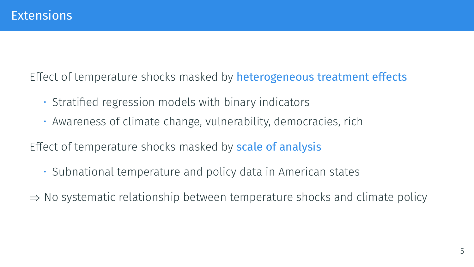Effect of temperature shocks masked by heterogeneous treatment effects

- Stratified regression models with binary indicators
- Awareness of climate change, vulnerability, democracies, rich

Effect of temperature shocks masked by **scale of analysis** 

• Subnational temperature and policy data in American states

*⇒* No systematic relationship between temperature shocks and climate policy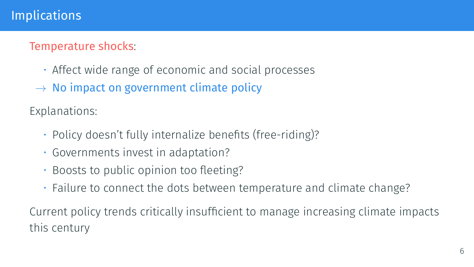## Implications

#### Temperature shocks:

- Affect wide range of economic and social processes
- *→* No impact on government climate policy

Explanations:

- Policy doesn't fully internalize benefits (free-riding)?
- Governments invest in adaptation?
- Boosts to public opinion too fleeting?
- Failure to connect the dots between temperature and climate change?

Current policy trends critically insufficient to manage increasing climate impacts this century